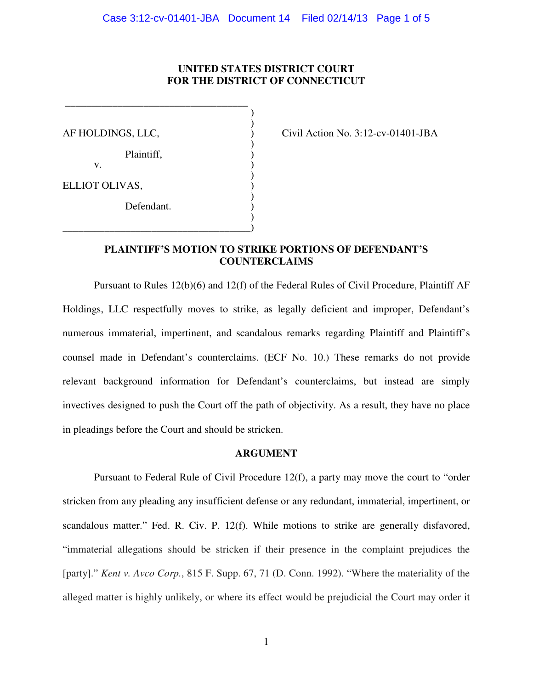## **UNITED STATES DISTRICT COURT FOR THE DISTRICT OF CONNECTICUT**

)

)

)

)

Plaintiff, )

 $\mathbf{v}$ .

ELLIOT OLIVAS, ) )

Defendant.

\_\_\_\_\_\_\_\_\_\_\_\_\_\_\_\_\_\_\_\_\_\_\_\_\_\_\_\_\_\_\_\_\_\_\_\_)

 \_\_\_\_\_\_\_\_\_\_\_\_\_\_\_\_\_\_\_\_\_\_\_\_\_\_\_\_\_\_\_\_\_\_\_  $)$ 

AF HOLDINGS, LLC,  $\qquad \qquad$  (ivil Action No. 3:12-cv-01401-JBA

## **PLAINTIFF'S MOTION TO STRIKE PORTIONS OF DEFENDANT'S COUNTERCLAIMS**

Pursuant to Rules 12(b)(6) and 12(f) of the Federal Rules of Civil Procedure, Plaintiff AF Holdings, LLC respectfully moves to strike, as legally deficient and improper, Defendant's numerous immaterial, impertinent, and scandalous remarks regarding Plaintiff and Plaintiff's counsel made in Defendant's counterclaims. (ECF No. 10.) These remarks do not provide relevant background information for Defendant's counterclaims, but instead are simply invectives designed to push the Court off the path of objectivity. As a result, they have no place in pleadings before the Court and should be stricken.

### **ARGUMENT**

 Pursuant to Federal Rule of Civil Procedure 12(f), a party may move the court to "order stricken from any pleading any insufficient defense or any redundant, immaterial, impertinent, or scandalous matter." Fed. R. Civ. P. 12(f). While motions to strike are generally disfavored, "immaterial allegations should be stricken if their presence in the complaint prejudices the [party]." *Kent v. Avco Corp.*, 815 F. Supp. 67, 71 (D. Conn. 1992). "Where the materiality of the alleged matter is highly unlikely, or where its effect would be prejudicial the Court may order it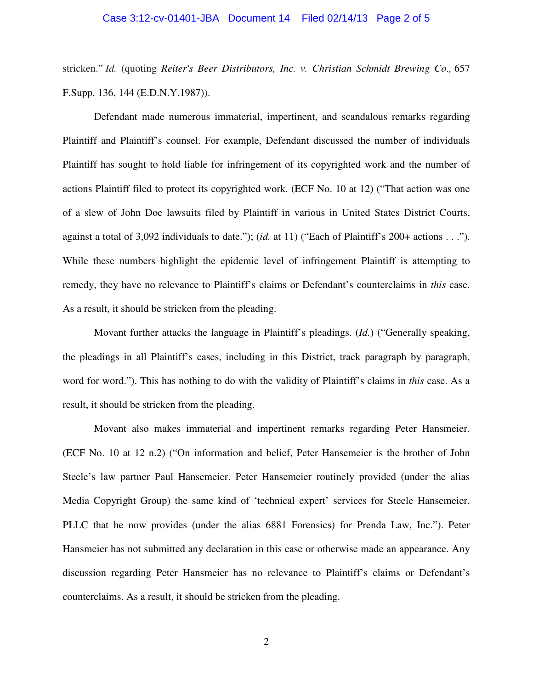#### Case 3:12-cv-01401-JBA Document 14 Filed 02/14/13 Page 2 of 5

stricken." *Id.* (quoting *Reiter's Beer Distributors, Inc. v. Christian Schmidt Brewing Co.,* 657 F.Supp. 136, 144 (E.D.N.Y.1987)).

 Defendant made numerous immaterial, impertinent, and scandalous remarks regarding Plaintiff and Plaintiff's counsel. For example, Defendant discussed the number of individuals Plaintiff has sought to hold liable for infringement of its copyrighted work and the number of actions Plaintiff filed to protect its copyrighted work. (ECF No. 10 at 12) ("That action was one of a slew of John Doe lawsuits filed by Plaintiff in various in United States District Courts, against a total of 3,092 individuals to date."); (*id.* at 11) ("Each of Plaintiff's 200+ actions . . ."). While these numbers highlight the epidemic level of infringement Plaintiff is attempting to remedy, they have no relevance to Plaintiff's claims or Defendant's counterclaims in *this* case. As a result, it should be stricken from the pleading.

 Movant further attacks the language in Plaintiff's pleadings. (*Id.*) ("Generally speaking, the pleadings in all Plaintiff's cases, including in this District, track paragraph by paragraph, word for word."). This has nothing to do with the validity of Plaintiff's claims in *this* case. As a result, it should be stricken from the pleading.

Movant also makes immaterial and impertinent remarks regarding Peter Hansmeier. (ECF No. 10 at 12 n.2) ("On information and belief, Peter Hansemeier is the brother of John Steele's law partner Paul Hansemeier. Peter Hansemeier routinely provided (under the alias Media Copyright Group) the same kind of 'technical expert' services for Steele Hansemeier, PLLC that he now provides (under the alias 6881 Forensics) for Prenda Law, Inc."). Peter Hansmeier has not submitted any declaration in this case or otherwise made an appearance. Any discussion regarding Peter Hansmeier has no relevance to Plaintiff's claims or Defendant's counterclaims. As a result, it should be stricken from the pleading.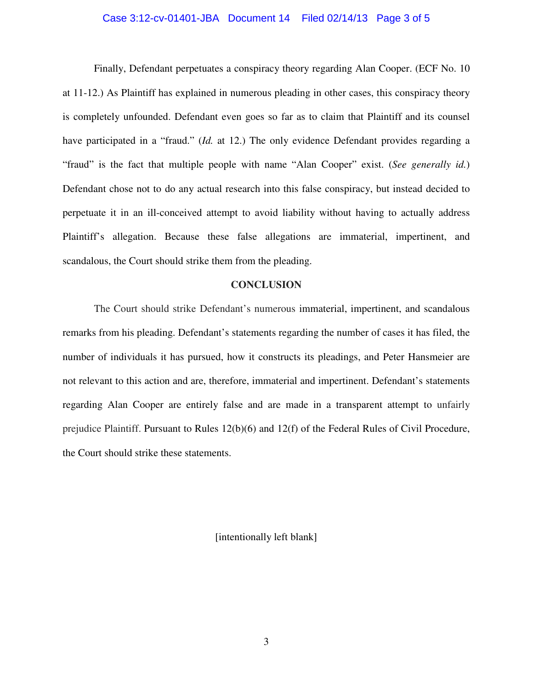#### Case 3:12-cv-01401-JBA Document 14 Filed 02/14/13 Page 3 of 5

 Finally, Defendant perpetuates a conspiracy theory regarding Alan Cooper. (ECF No. 10 at 11-12.) As Plaintiff has explained in numerous pleading in other cases, this conspiracy theory is completely unfounded. Defendant even goes so far as to claim that Plaintiff and its counsel have participated in a "fraud." (*Id.* at 12.) The only evidence Defendant provides regarding a "fraud" is the fact that multiple people with name "Alan Cooper" exist. (*See generally id.*) Defendant chose not to do any actual research into this false conspiracy, but instead decided to perpetuate it in an ill-conceived attempt to avoid liability without having to actually address Plaintiff's allegation. Because these false allegations are immaterial, impertinent, and scandalous, the Court should strike them from the pleading.

#### **CONCLUSION**

 The Court should strike Defendant's numerous immaterial, impertinent, and scandalous remarks from his pleading. Defendant's statements regarding the number of cases it has filed, the number of individuals it has pursued, how it constructs its pleadings, and Peter Hansmeier are not relevant to this action and are, therefore, immaterial and impertinent. Defendant's statements regarding Alan Cooper are entirely false and are made in a transparent attempt to unfairly prejudice Plaintiff. Pursuant to Rules 12(b)(6) and 12(f) of the Federal Rules of Civil Procedure, the Court should strike these statements.

[intentionally left blank]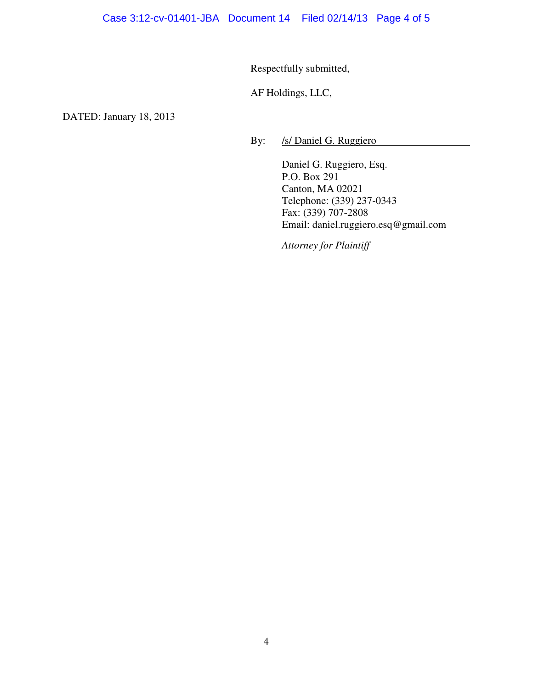Respectfully submitted,

AF Holdings, LLC,

DATED: January 18, 2013

By: /s/ Daniel G. Ruggiero

Daniel G. Ruggiero, Esq. P.O. Box 291 Canton, MA 02021 Telephone: (339) 237-0343 Fax: (339) 707-2808 Email: daniel.ruggiero.esq@gmail.com

*Attorney for Plaintiff*